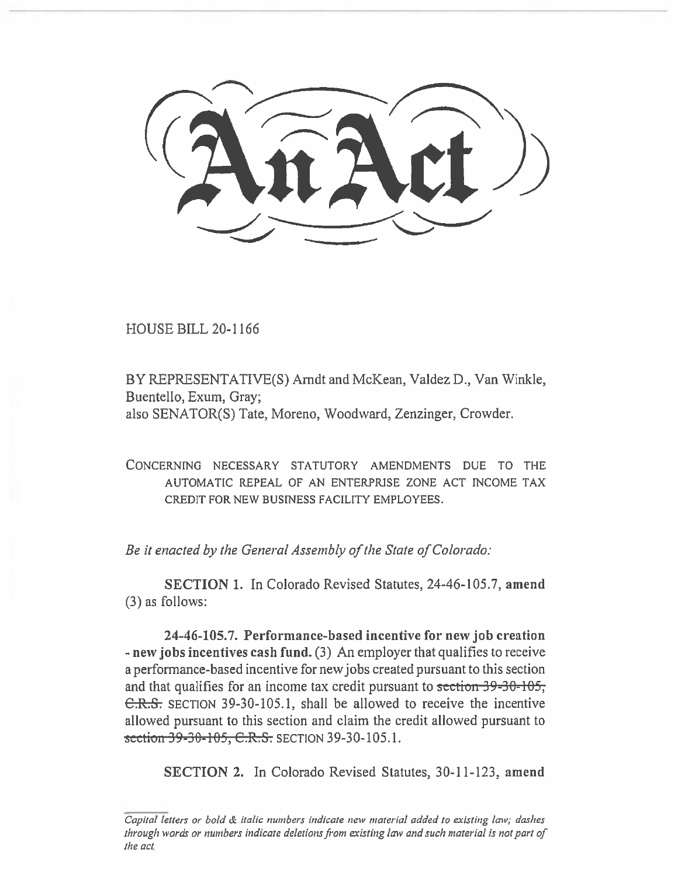HOUSE BILL 20-1166

BY REPRESENTATIVE(S) Arndt and McKean, Valdez D., Van Winkle, Buentello, Exum, Gray; also SENATOR(S) Tate, Moreno, Woodward, Zenzinger, Crowder.

CONCERNING NECESSARY STATUTORY AMENDMENTS DUE TO THE AUTOMATIC REPEAL OF AN ENTERPRISE ZONE ACT INCOME TAX **CREDIT FOR** NEW BUSINESS FACILITY EMPLOYEES.

*Be it enacted by the General Assembly of the State of Colorado:* 

**SECTION 1.** In Colorado Revised Statutes, 24-46-105.7, **amend**  (3) as follows:

**24-46-105.7. Performance-based incentive for new job creation - new jobs incentives cash fund.** (3) An employer that qualifies to receive a performance-based incentive for new jobs created pursuant to this section and that qualifies for an income tax credit pursuant to section  $39-30-105$ ; C.R.S. SECTION 39-30-105.1, shall be allowed to receive the incentive allowed pursuant to this section and claim the credit allowed pursuant to section 39-30-105, C.R.S. SECTION 39-30-105.1.

**SECTION 2. In** Colorado Revised Statutes, 30-11-123, **amend** 

*Capital letters or bold & italic numbers indicate new material added to existing law; dashes through words or numbers indicate deletions from existing law and such material is not part of the act*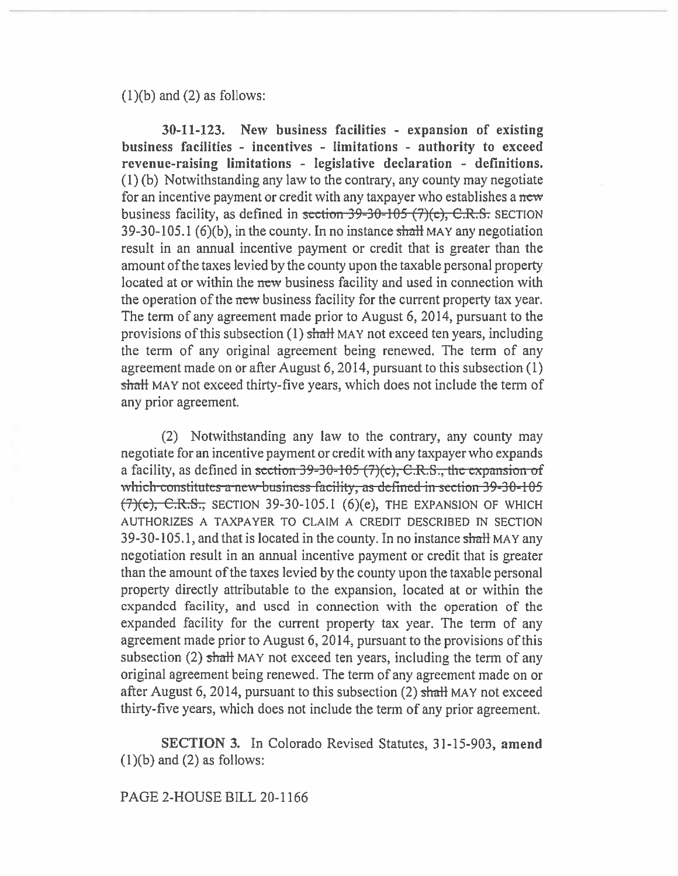$(1)(b)$  and  $(2)$  as follows:

**30-11-123. New business facilities - expansion of existing business facilities - incentives - limitations - authority to exceed revenue-raising limitations - legislative declaration - definitions. (1)** (b) Notwithstanding any law to the contrary, any county may negotiate for an incentive payment or credit with any taxpayer who establishes a *new*  business facility, as defined in section  $39-30-105$  (7)(e), C.R.S. SECTION 39-30-105.1 (6)(b), in the county. In no instance shall MAY any negotiation result in an annual incentive payment or credit that is greater than the amount of the taxes levied by the county upon the taxable personal property located at or within the new business facility and used in connection with the operation of the new business facility for the current property tax year. The term of any agreement made prior to August 6, 2014, pursuant to the provisions of this subsection  $(1)$  shall MAY not exceed ten years, including the term of any original agreement being renewed. The term of any agreement made on or after August 6, 2014, pursuant to this subsection (1) shall MAY not exceed thirty-five years, which does not include the term of any prior agreement.

(2) Notwithstanding any law to the contrary, any county may negotiate for an incentive payment or credit with any taxpayer who expands a facility, as defined in section 39-30-105 (7)(c), C.R.S., the expansion of which constitutes a new business facility, as defined in section 39-30-105  $(7)(e)$ , C.R.S., SECTION 39-30-105.1 (6)(e), THE EXPANSION OF WHICH AUTHORIZES A TAXPAYER TO CLAIM A CREDIT DESCRIBED IN SECTION 39-30-105.1, and that is located in the county. In no instance **shall** MAY any negotiation result in an annual incentive payment or credit that is greater than the amount of the taxes levied by the county upon the taxable personal property directly attributable to the expansion, located at or within the expanded facility, and used in connection with the operation of the expanded facility for the current property tax year. The term of any agreement made prior to August 6, 2014, pursuant to the provisions of this subsection (2) shall MAY not exceed ten years, including the term of any original agreement being renewed. The term of any agreement made on or after August 6, 2014, pursuant to this subsection  $(2)$  shall MAY not exceed thirty-five years, which does not include the term of any prior agreement.

**SECTION 3.** In Colorado Revised Statutes, 31-15-903, **amend (1)(b) and (2) as follows:** 

**PAGE 2-HOUSE BILL 20-1166**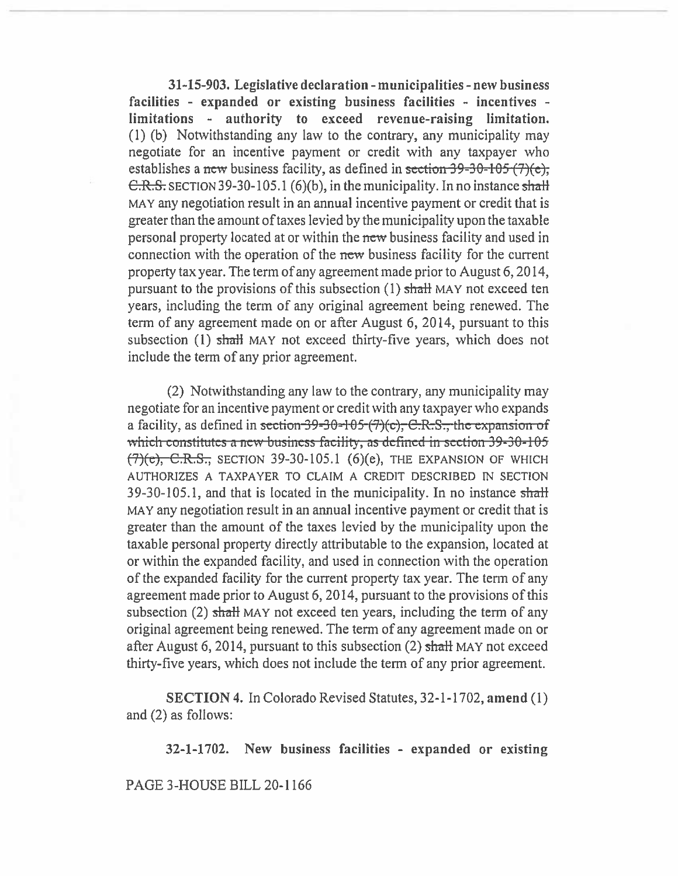**3145-903. Legislative declaration - municipalities - new business facilities - expanded or existing business facilities - incentives limitations - authority to exceed revenue-raising limitation.**  (1) (b) Notwithstanding any law to the contrary, any municipality may negotiate for an incentive payment or credit with any taxpayer who establishes a new business facility, as defined in section 39-30-105 (7)(e), C.R.S. SECTION 39-30-105.1 (6)(b), **in the** municipality. In no instance shall MAY any negotiation result in an annual incentive payment or credit that **is**  greater than the amount of taxes levied by the municipality upon the taxable personal property located at or within the new business facility and used in connection with the operation of the new business facility for the current property tax year. The term of any agreement made prior to August 6, 2014, pursuant to the provisions of this subsection  $(1)$  shall MAY not exceed ten years, including the term of any original agreement being renewed. The term of any agreement made on or after August 6, 2014, pursuant to this subsection (1) shall MAY not exceed thirty-five years, which does not include the term of any prior **agreement.** 

(2) Notwithstanding any law to the contrary, any municipality may negotiate for an incentive payment or credit with any taxpayer who expands a facility, as defined in <del>section 39-30-105 (7)(c), C.R.S., the expansion of</del> <u>rich constitutes a new business facility, as defined in section 39-30-105</u> *(7)(e)*, *C.R.S.*, *SECTION* 39-30-105.1 *(6)(e)*, *THE EXPANSION OF WHICH* AUTHORIZES A TAXPAYER TO CLAIM A CREDIT DESCRIBED IN SECTION 39-30-105.1, and that is located in the municipality. In no instance  $shath$ MAY any negotiation result in an annual incentive payment or credit that is greater than the amount of the taxes levied by the municipality upon the taxable personal property directly attributable to the expansion, located at or within the expanded facility, and used in connection with the operation of the expanded facility for the current property tax year. The term of any agreement made prior to August 6, 2014, pursuant to the provisions of this subsection (2) shall MAY not exceed ten years, including the term of any original agreement being renewed. The term of any agreement made on or after August 6, 2014, pursuant to this subsection (2) shaft MAY not exceed thirty-five years, which does not include the term of any prior agreement.

**SECTION** 4. In Colorado Revised Statutes, 32-1-1702, **amend (I)**  and (2) as follows:

**32-1-1702. New business facilities - expanded or existing** 

## **PAGE 3-HOUSE BILL** 20-1166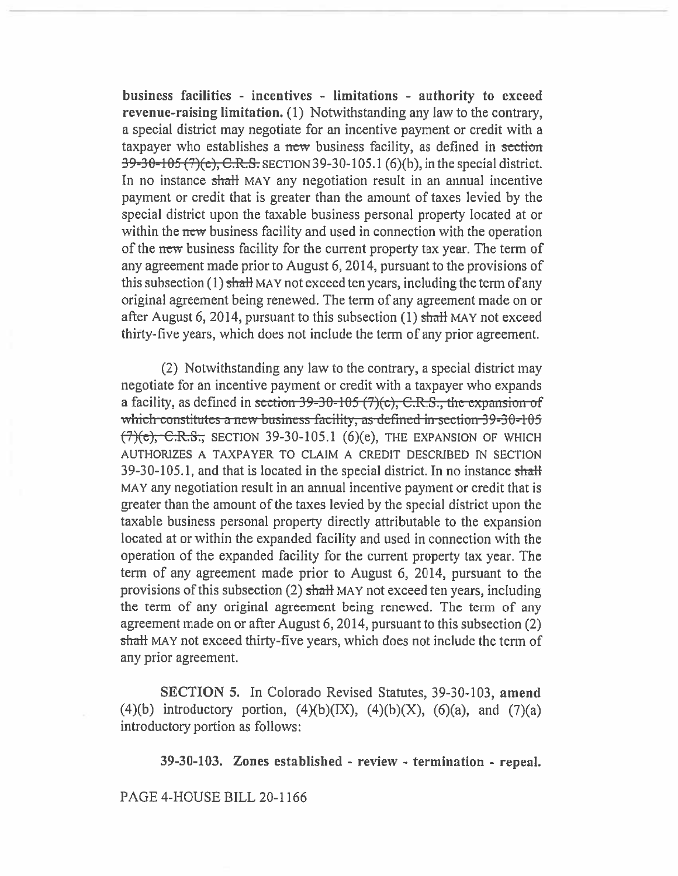**business facilities - incentives - limitations - authority to exceed revenue-raising limitation.** (1) Notwithstanding any law to the contrary, a special district may negotiate for an incentive payment or credit with a taxpayer who establishes a new business facility, as defined in section 39-30-105 (7)(e), C.R.S. SECTION 39-30-105.1 (6)(b), in the special district. In no instance shall MAY any negotiation result in an annual incentive payment or credit that is greater than the amount of taxes levied by the special district upon the taxable business personal property located at or within the new business facility and used in connection with the operation of the new business facility for the current property tax year. The term of any agreement made prior to August 6, 2014, pursuant to the provisions of this subsection  $(1)$  shall MAY not exceed ten years, including the term of any original agreement being renewed. The term of any agreement made on or after August 6, 2014, pursuant to this subsection  $(1)$  shall MAY not exceed thirty-five years, which does not include the term of any prior agreement.

(2) Notwithstanding any law to the contrary, a special district may negotiate for an incentive payment or credit with a taxpayer who expands a facility, as defined in section  $39-30-105$  (7)(c), C.R.S., the expansion of which constitutes a new business facility, as defined in section 39-30-105 (7)(e), C.R.S., SECTION 39-30-105.1 (6)(e), THE EXPANSION **OF** WHICH AUTHORIZES A TAXPAYER TO CLAIM A CREDIT DESCRIBED IN SECTION **39-30-105.1,** and that is located in the special district. In no instance shall MAY any negotiation result in an annual incentive payment or credit that is greater than the amount of the taxes levied by the special district upon the taxable business personal property directly attributable to the expansion located at or within the expanded facility and used in connection with the operation of the expanded facility for the current property tax year. The term of any agreement made prior to August 6, 2014, pursuant to the provisions of this subsection (2) shaft MAY **not exceed** ten years, including the term of any original agreement being renewed. The term of any agreement made on or after August 6, 2014, pursuant to this subsection (2) shall MAY not exceed thirty-five years, which does not include the term of any prior agreement.

**SECTION 5.** In Colorado Revised Statutes, 39-30-103, **amend**  (4)(b) introductory portion,  $(4)(b)(IX)$ ,  $(4)(b)(X)$ ,  $(6)(a)$ , and  $(7)(a)$ introductory portion as follows:

**39-30-103. Zones established - review - termination - repeal.** 

**PAGE 4-HOUSE BILL** 20-1166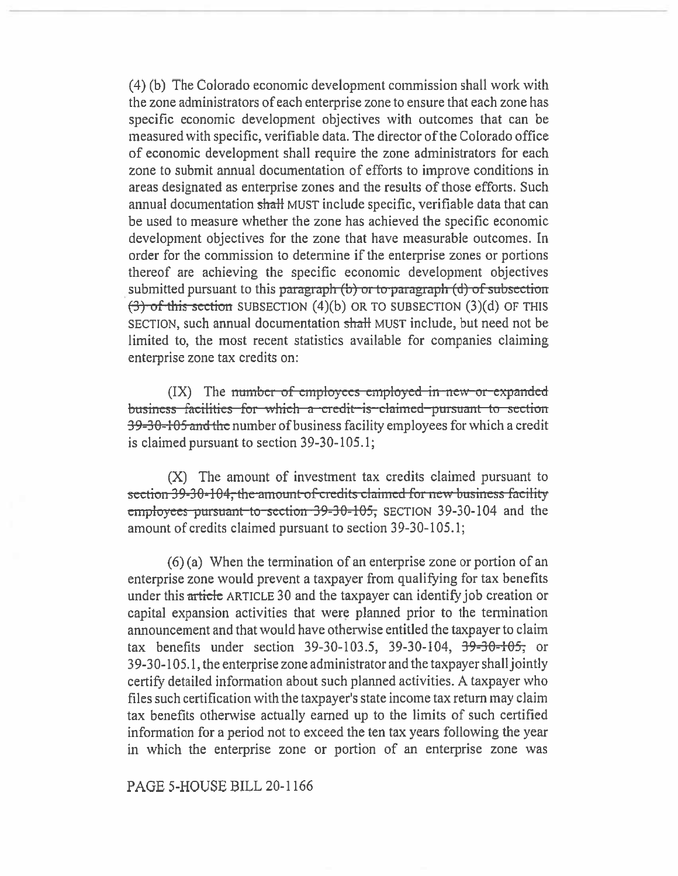(4) (b) The Colorado economic development commission shall work with the zone administrators of each enterprise zone to ensure that each zone has specific economic development objectives with outcomes that can be measured with specific, verifiable data. The director of the Colorado office of economic development shall require the zone administrators for each zone to submit annual documentation of efforts to improve conditions in areas designated as enterprise zones and the results of those efforts. Such annual documentation shall MUST include specific, verifiable data that can be used to measure whether the zone has achieved the specific economic development objectives for the zone that have measurable outcomes. In order for the commission to determine if the enterprise zones or portions thereof are achieving the specific economic development objectives submitted pursuant to this paragraph  $(b)$  or to paragraph  $(d)$  of subsection  $(3)$  of this section SUBSECTION (4)(b) OR TO SUBSECTION (3)(d) OF THIS SECTION, such annual documentation shall MUST include, but need not be limited to, the most recent statistics available for companies claiming enterprise zone tax credits on:

 $(IX)$  The number of employees employed in new-or-expanded business facilities for which a credit is claimed pursuant to section 39-30-105 and the number of business facility employees for which a credit is claimed pursuant to section  $39-30-105.1$ ;

(X) The amount of investment tax credits claimed pursuant to section 39-30-104, the amount of credits claimed for new business facility employees pursuant to section 39-30-105, SECTION 39-30-104 and the amount of credits claimed pursuant to section 39-30-105.1;

 $(6)$  (a) When the termination of an enterprise zone or portion of an enterprise zone would prevent a taxpayer from qualifying for tax benefits under this article ARTICLE 30 and the taxpayer can identify job creation or capital expansion activities that were planned prior to the termination announcement and that would have otherwise entitled the taxpayer to claim tax benefits under section 39-30-103.5, 39-30-104,  $39-30-105$ ; or 39-30-105.1, the enterprise zone administrator and the taxpayer shall jointly certify detailed information about such planned activities. A taxpayer who files such certification with the taxpayer's state income tax return may claim tax benefits otherwise actually earned up to the limits of such certified information for a period not to exceed the ten tax years following the year in which the enterprise zone or portion of an enterprise zone was

## PAGE 5-HOUSE BILL 20-1166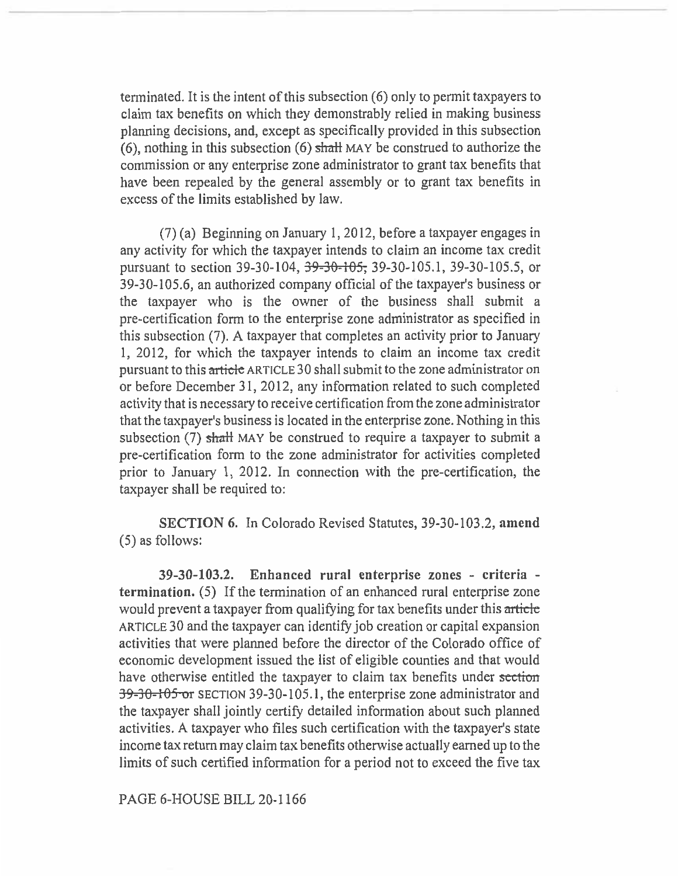terminated. It is the intent of this subsection (6) only to permit taxpayers to claim tax benefits on which they demonstrably relied in making business planning decisions, and, except as specifically provided in this subsection (6), nothing in this subsection (6) shall MAY be construed to authorize the commission or any enterprise zone administrator to grant tax benefits that have been repealed by the general assembly or to grant tax benefits in excess of the limits established by law.

(7) (a) Beginning on January 1, 2012, before a taxpayer engages in any activity for which the taxpayer intends to claim an income tax credit pursuant to section 39-30-104, <del>39-30-105,</del> 39-30-105.1, 39-30-105.5, or 39-30-105.6, an authorized company official of the taxpayer's business or the taxpayer who is the owner of the business shall submit a pre-certification form to the enterprise zone administrator as specified in this subsection (7). A taxpayer that completes an activity prior to January 1, 2012, for which the taxpayer intends to claim an income tax credit pursuant to this article ARTICLE 30 shall submit to the zone administrator on or before December 31, 2012, any information related to such completed activity that is necessary to receive certification from the zone administrator that the taxpayer's business is located in the enterprise zone. Nothing in this subsection  $(7)$  shall MAY be construed to require a taxpayer to submit a pre-certification form to the zone administrator for activities completed prior to January 1, 2012. In connection with the pre-certification, the taxpayer shall be required to:

SECTION 6. In Colorado Revised Statutes, 39-30-103.2, **amend**  (5) as follows:

**39-30-103.2. Enhanced rural enterprise zones - criteria termination.** (5) If the termination of an enhanced rural enterprise zone would prevent a taxpayer from qualifying for tax benefits under this article ARTICLE 30 and the taxpayer can identify job creation or capital expansion activities that were planned before the director of the Colorado office of economic development issued the list of eligible counties and that would have otherwise entitled the taxpayer to claim tax benefits under section 39-30-105 or SECTION 39-30-105.1, the enterprise zone administrator and the taxpayer shall jointly certify detailed information about such planned activities. A taxpayer who files such certification with the taxpayer's state income tax return may claim tax benefits otherwise actually earned up to the limits of such certified information for a period not to exceed the five tax

PAGE 6-HOUSE BILL 20-1166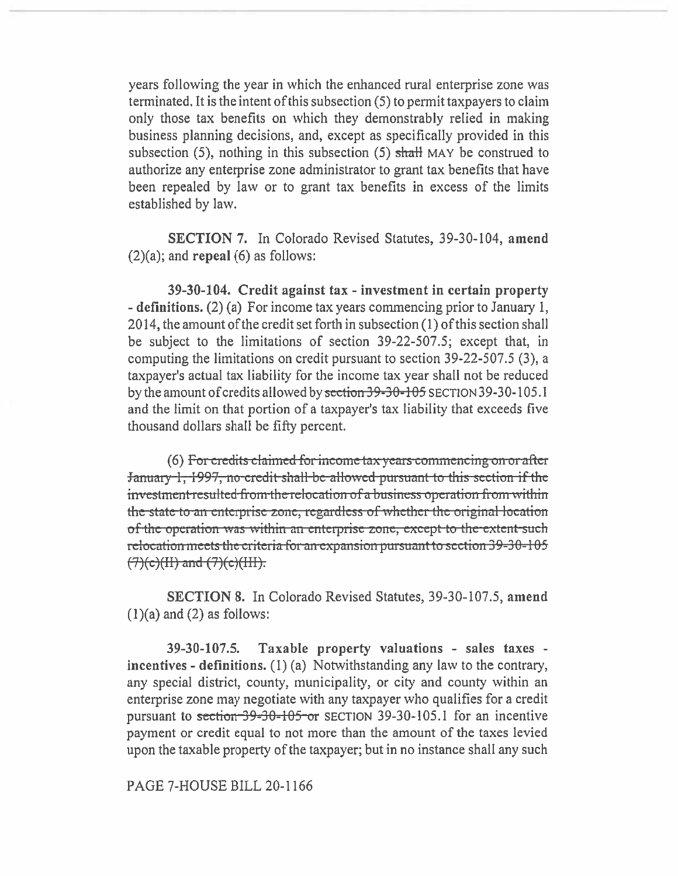years following the year in which the enhanced rural enterprise zone was terminated. It is the intent of this subsection (5) to permit taxpayers to claim only those tax benefits on which they demonstrably relied in making business planning decisions, and, except as specifically provided in this subsection  $(5)$ , nothing in this subsection  $(5)$  shall MAY be construed to authorize any enterprise zone administrator to grant tax benefits that have been repealed by law or to grant tax benefits in excess of the limits established by law.

SECTION 7. In Colorado Revised Statutes, 39-30-104, amend  $(2)(a)$ ; and repeal  $(6)$  as follows:

39-30-104. Credit against tax - investment in certain property - definitions. (2) (a) For income tax years commencing prior to January 1, 2014, the amount of the credit set forth in subsection (1) of this section shall be subject to the limitations of section 39-22-507.5; except that, in computing the limitations on credit pursuant to section 39-22-507.5 (3), a taxpayer's actual tax liability for the income tax year shall not be reduced by the amount of credits allowed by section 39-30-105 SECTION 39-30-105.1 and the limit on that portion of a taxpayer's tax liability that exceeds five thousand dollars shall be fifty percent.

(6) For credits claimed for income tax years commencing on or after January 1, 1997, no credit shall be allowed pursuant to this section if the investment resulted from the relocation of a business operation from within the state to an enterprise zone, regardless of whether the original location of the operation was within an enterprise zone, except to the extent such relocation meets the criteria for an expansion pursuant to section 39-30-105  $(7)(c)(H)$  and  $(7)(c)(HH)$ .

**SECTION 8.** In Colorado Revised Statutes, 39-30-107.5, amend  $(1)(a)$  and  $(2)$  as follows:

Taxable property valuations - sales taxes - $39 - 30 - 107.5$ incentives - definitions.  $(1)$  (a) Notwithstanding any law to the contrary, any special district, county, municipality, or city and county within an enterprise zone may negotiate with any taxpayer who qualifies for a credit pursuant to section  $39-30-105$  or SECTION 39-30-105.1 for an incentive payment or credit equal to not more than the amount of the taxes levied upon the taxable property of the taxpayer; but in no instance shall any such

PAGE 7-HOUSE BILL 20-1166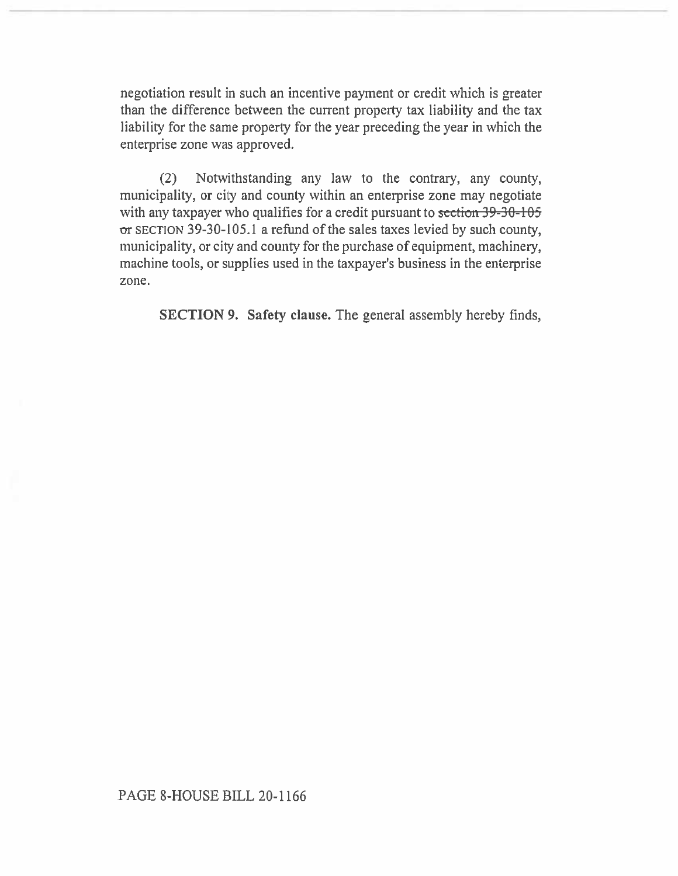negotiation result in such an incentive payment or credit which is greater than the difference between the current property tax liability and the tax liability for the same property for the year preceding the year in which the enterprise zone was approved.

(2) Notwithstanding any law to the contrary, any county, municipality, or city and county within an enterprise zone may negotiate with any taxpayer who qualifies for a credit pursuant to section 39-30-105 or SECTION 39-30-105.1 a refund of the sales taxes levied by such county, municipality, or city and county for the purchase of equipment, machinery, machine tools, or supplies used in the taxpayer's business in the enterprise zone.

**SECTION 9. Safety clause. The** general assembly hereby finds,

PAGE 8-HOUSE BILL 20-1166